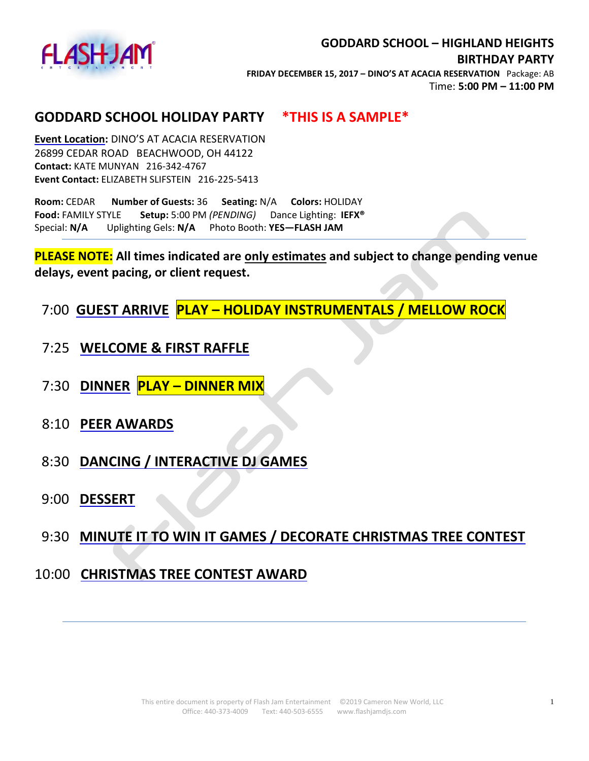

### **GODDARD SCHOOL HOLIDAY PARTY \*THIS IS A SAMPLE\***

**Event Location:** DINO'S AT ACACIA RESERVATION 26899 CEDAR ROAD BEACHWOOD, OH 44122 **Contact:** KATE MUNYAN 216-342-4767 **Event Contact:** ELIZABETH SLIFSTEIN 216-225-5413

**Room:** CEDAR **Number of Guests:** 36 **Seating:** N/A **Colors:** HOLIDAY **Food:** FAMILY STYLE **Setup:** 5:00 PM *(PENDING)* Dance Lighting: **IEFX®**  Special: **N/A** Uplighting Gels: **N/A** Photo Booth: **YES—FLASH JAM**

**PLEASE NOTE: All times indicated are only estimates and subject to change pending venue delays, event pacing, or client request.**

7:00 **GUEST ARRIVE PLAY – HOLIDAY INSTRUMENTALS / MELLOW ROCK**

- 7:25 **WELCOME & FIRST RAFFLE**
- 7:30 **DINNER PLAY – DINNER MIX**
- 8:10 **PEER AWARDS**
- 8:30 **DANCING / INTERACTIVE DJ GAMES**
- 9:00 **DESSERT**
- 9:30 **MINUTE IT TO WIN IT GAMES / DECORATE CHRISTMAS TREE CONTEST**

## 10:00 **CHRISTMAS TREE CONTEST AWARD**